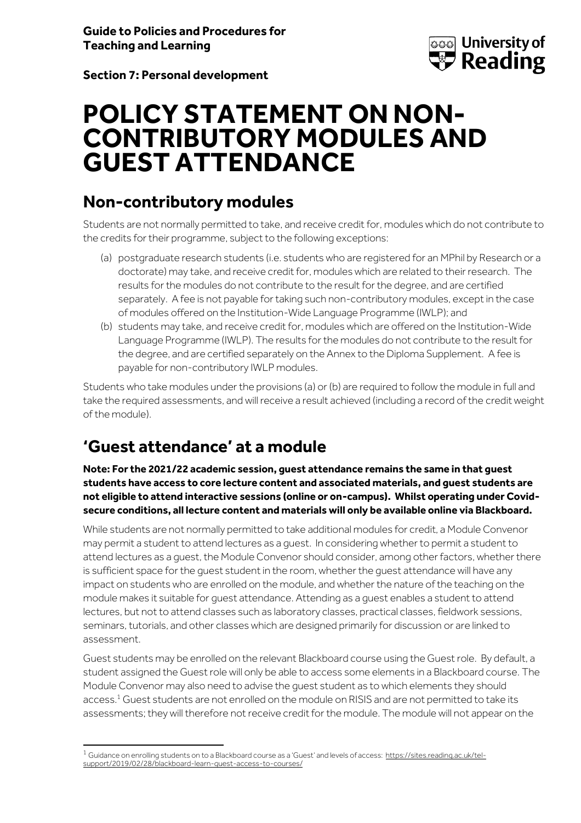

**Section 7: Personal development**

## **POLICY STATEMENT ON NON-CONTRIBUTORY MODULES AND GUEST ATTENDANCE**

## **Non-contributory modules**

Students are not normally permitted to take, and receive credit for, modules which do not contribute to the credits for their programme, subject to the following exceptions:

- (a) postgraduate research students (i.e. students who are registered for an MPhil by Research or a doctorate) may take, and receive credit for, modules which are related to their research. The results for the modules do not contribute to the result for the degree, and are certified separately. A fee is not payable for taking such non-contributory modules, except in the case of modules offered on the Institution-Wide Language Programme (IWLP); and
- (b) students may take, and receive credit for, modules which are offered on the Institution-Wide Language Programme (IWLP). The results for the modules do not contribute to the result for the degree, and are certified separately on the Annex to the Diploma Supplement. A fee is payable for non-contributory IWLP modules.

Students who take modules under the provisions (a) or (b) are required to follow the module in full and take the required assessments, and will receive a result achieved (including a record of the credit weight of the module).

## **'Guest attendance' at a module**

**Note: For the 2021/22 academic session, guest attendance remains the same in that guest students have access to core lecture content and associated materials, and guest students are not eligible to attend interactive sessions (online or on-campus). Whilst operating under Covidsecure conditions, all lecture content and materials will only be available online via Blackboard.** 

While students are not normally permitted to take additional modules for credit, a Module Convenor may permit a student to attend lectures as a guest. In considering whether to permit a student to attend lectures as a guest, the Module Convenor should consider, among other factors, whether there is sufficient space for the guest student in the room, whether the guest attendance will have any impact on students who are enrolled on the module, and whether the nature of the teaching on the module makes it suitable for guest attendance. Attending as a guest enables a student to attend lectures, but not to attend classes such as laboratory classes, practical classes, fieldwork sessions, seminars, tutorials, and other classes which are designed primarily for discussion or are linked to assessment.

Guest students may be enrolled on the relevant Blackboard course using the Guest role. By default, a student assigned the Guest role will only be able to access some elements in a Blackboard course. The Module Convenor may also need to advise the guest student as to which elements they should access.<sup>1</sup> Guest students are not enrolled on the module on RISIS and are not permitted to take its assessments; they will therefore not receive credit for the module. The module will not appear on the

 $1$  Guidance on enrolling students on to a Blackboard course as a 'Guest' and levels of access: [https://sites.reading.ac.uk/tel](https://sites.reading.ac.uk/tel-support/2019/02/28/blackboard-learn-guest-access-to-courses/)[support/2019/02/28/blackboard-learn-guest-access-to-courses/](https://sites.reading.ac.uk/tel-support/2019/02/28/blackboard-learn-guest-access-to-courses/)